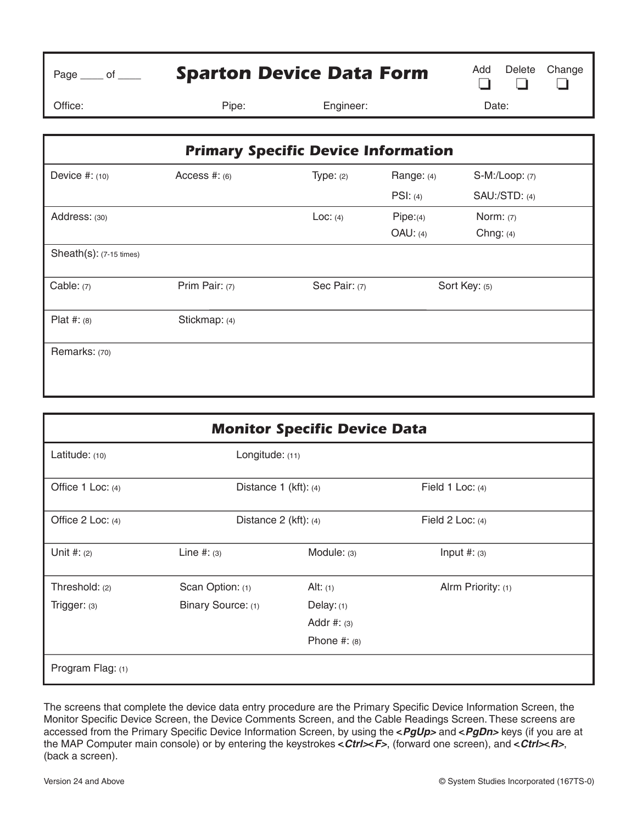| Page $\rule{1em}{0.15mm}$ of $\rule{1.5mm}{0.15mm}$ | <b>Sparton Device Data Form</b> |                                            |             | Add<br>Delete        | Change |
|-----------------------------------------------------|---------------------------------|--------------------------------------------|-------------|----------------------|--------|
| Office:                                             | Pipe:                           | Engineer:                                  |             | Date:                |        |
|                                                     |                                 | <b>Primary Specific Device Information</b> |             |                      |        |
| Device #: (10)                                      | Access #: $(6)$                 | Type: $(2)$                                | Range: (4)  | $S-M$ :/Loop: $(7)$  |        |
|                                                     |                                 |                                            | PSI: (4)    | <b>SAU:/STD: (4)</b> |        |
| Address: (30)                                       |                                 | Loc: (4)                                   | Pipe:(4)    | Norm: $(7)$          |        |
|                                                     |                                 |                                            | $OAU$ : (4) | Chng: $(4)$          |        |
| $Sheath(s): (7-15 times)$                           |                                 |                                            |             |                      |        |
| Cable: $(7)$                                        | Prim Pair: (7)                  | Sec Pair: (7)                              |             | Sort Key: (5)        |        |
| Plat #: $(8)$                                       | Stickmap: (4)                   |                                            |             |                      |        |
| Remarks: (70)                                       |                                 |                                            |             |                      |        |

| <b>Monitor Specific Device Data</b> |                           |                |                    |  |  |
|-------------------------------------|---------------------------|----------------|--------------------|--|--|
| Latitude: (10)                      | Longitude: (11)           |                |                    |  |  |
| Office 1 Loc: (4)                   | Distance $1$ (kft): (4)   |                | Field 1 Loc: $(4)$ |  |  |
| Office 2 Loc: (4)                   | Distance $2$ (kft): $(4)$ |                | Field 2 Loc: $(4)$ |  |  |
| Unit #: $(2)$                       | Line $#: (3)$             | Module: (3)    | Input $#:(3)$      |  |  |
| Threshold: (2)                      | Scan Option: (1)          | Alt: $(1)$     | Alrm Priority: (1) |  |  |
| Trigger: (3)                        | Binary Source: (1)        | Delay: $(1)$   |                    |  |  |
|                                     |                           | Addr #: $(3)$  |                    |  |  |
|                                     |                           | Phone $#: (8)$ |                    |  |  |
| Program Flag: (1)                   |                           |                |                    |  |  |

The screens that complete the device data entry procedure are the Primary Specific Device Information Screen, the Monitor Specific Device Screen, the Device Comments Screen, and the Cable Readings Screen. These screens are accessed from the Primary Specific Device Information Screen, by using the <PgUp> and <PgDn> keys (if you are at the MAP Computer main console) or by entering the keystrokes <*Ctrl><F>,* (forward one screen), and <*Ctrl><F*>, (back a screen).